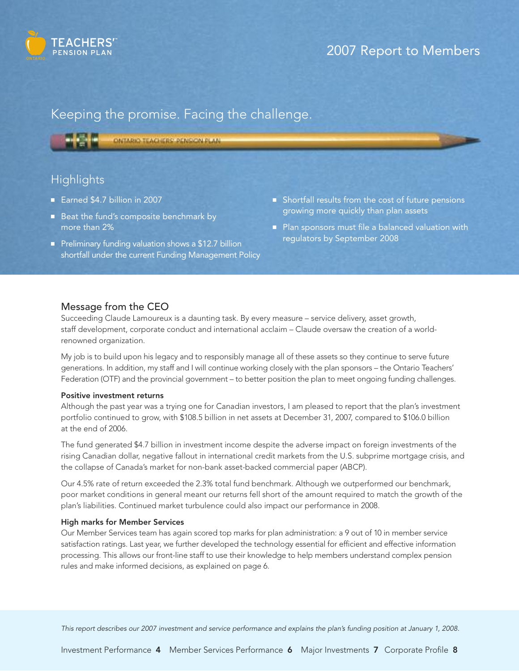

# 2007 Report to Members

# Keeping the promise. Facing the challenge.

ONTARIO TEACHERS' PENSION PLAN

## **Highlights**

- Earned \$4.7 billion in 2007
- Beat the fund's composite benchmark by more than 2%
- Preliminary funding valuation shows a \$12.7 billion shortfall under the current Funding Management Policy
- Shortfall results from the cost of future pensions growing more quickly than plan assets
- Plan sponsors must file a balanced valuation with regulators by September 2008

### Message from the CEO

Succeeding Claude Lamoureux is a daunting task. By every measure – service delivery, asset growth, staff development, corporate conduct and international acclaim – Claude oversaw the creation of a worldrenowned organization.

My job is to build upon his legacy and to responsibly manage all of these assets so they continue to serve future generations. In addition, my staff and I will continue working closely with the plan sponsors – the Ontario Teachers' Federation (OTF) and the provincial government – to better position the plan to meet ongoing funding challenges.

#### Positive investment returns

Although the past year was a trying one for Canadian investors, I am pleased to report that the plan's investment portfolio continued to grow, with \$108.5 billion in net assets at December 31, 2007, compared to \$106.0 billion at the end of 2006.

The fund generated \$4.7 billion in investment income despite the adverse impact on foreign investments of the rising Canadian dollar, negative fallout in international credit markets from the U.S. subprime mortgage crisis, and the collapse of Canada's market for non-bank asset-backed commercial paper (ABCP).

Our 4.5% rate of return exceeded the 2.3% total fund benchmark. Although we outperformed our benchmark, poor market conditions in general meant our returns fell short of the amount required to match the growth of the plan's liabilities. Continued market turbulence could also impact our performance in 2008.

### High marks for Member Services

Our Member Services team has again scored top marks for plan administration: a 9 out of 10 in member service satisfaction ratings. Last year, we further developed the technology essential for efficient and effective information processing. This allows our front-line staff to use their knowledge to help members understand complex pension rules and make informed decisions, as explained on page 6.

This report describes our 2007 investment and service performance and explains the plan's funding position at January 1, 2008.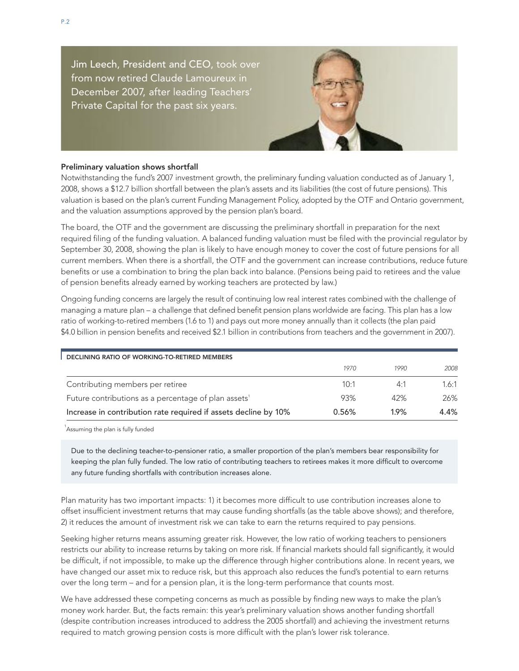Jim Leech, President and CEO, took over from now retired Claude Lamoureux in December 2007, after leading Teachers' Private Capital for the past six years.



### Preliminary valuation shows shortfall

Notwithstanding the fund's 2007 investment growth, the preliminary funding valuation conducted as of January 1, 2008, shows a \$12.7 billion shortfall between the plan's assets and its liabilities (the cost of future pensions). This valuation is based on the plan's current Funding Management Policy, adopted by the OTF and Ontario government, and the valuation assumptions approved by the pension plan's board.

The board, the OTF and the government are discussing the preliminary shortfall in preparation for the next required filing of the funding valuation. A balanced funding valuation must be filed with the provincial regulator by September 30, 2008, showing the plan is likely to have enough money to cover the cost of future pensions for all current members. When there is a shortfall, the OTF and the government can increase contributions, reduce future benefits or use a combination to bring the plan back into balance. (Pensions being paid to retirees and the value of pension benefits already earned by working teachers are protected by law.)

Ongoing funding concerns are largely the result of continuing low real interest rates combined with the challenge of managing a mature plan – a challenge that defined benefit pension plans worldwide are facing. This plan has a low ratio of working-to-retired members (1.6 to 1) and pays out more money annually than it collects (the plan paid \$4.0 billion in pension benefits and received \$2.1 billion in contributions from teachers and the government in 2007).

| DECLINING RATIO OF WORKING-TO-RETIRED MEMBERS                    |       |      |       |  |  |  |
|------------------------------------------------------------------|-------|------|-------|--|--|--|
|                                                                  | 1970  | 1990 | 2008  |  |  |  |
| Contributing members per retiree                                 | 10:1  | 4:1  | 1.6:1 |  |  |  |
| Future contributions as a percentage of plan assets <sup>1</sup> | 93%   | 42%  | 26%   |  |  |  |
| Increase in contribution rate required if assets decline by 10%  | 0.56% | 1.9% | 4.4%  |  |  |  |

<sup>1</sup>Assuming the plan is fully funded

Due to the declining teacher-to-pensioner ratio, a smaller proportion of the plan's members bear responsibility for keeping the plan fully funded. The low ratio of contributing teachers to retirees makes it more difficult to overcome any future funding shortfalls with contribution increases alone.

Plan maturity has two important impacts: 1) it becomes more difficult to use contribution increases alone to offset insufficient investment returns that may cause funding shortfalls (as the table above shows); and therefore, 2) it reduces the amount of investment risk we can take to earn the returns required to pay pensions.

Seeking higher returns means assuming greater risk. However, the low ratio of working teachers to pensioners restricts our ability to increase returns by taking on more risk. If financial markets should fall significantly, it would be difficult, if not impossible, to make up the difference through higher contributions alone. In recent years, we have changed our asset mix to reduce risk, but this approach also reduces the fund's potential to earn returns over the long term – and for a pension plan, it is the long-term performance that counts most.

We have addressed these competing concerns as much as possible by finding new ways to make the plan's money work harder. But, the facts remain: this year's preliminary valuation shows another funding shortfall (despite contribution increases introduced to address the 2005 shortfall) and achieving the investment returns required to match growing pension costs is more difficult with the plan's lower risk tolerance.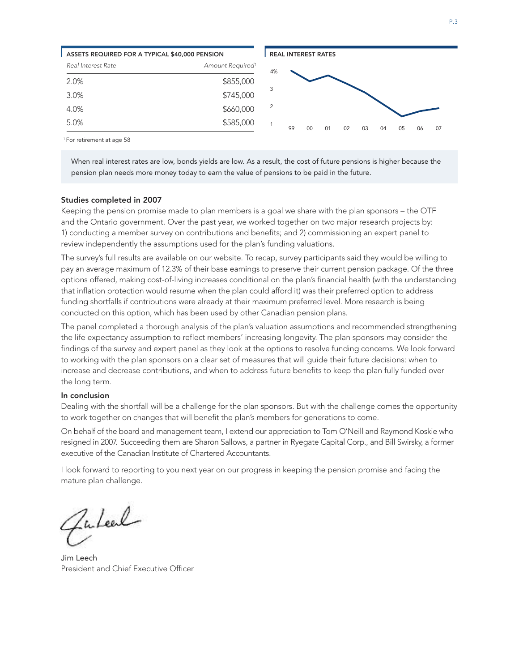

<sup>1</sup> For retirement at age 58

When real interest rates are low, bonds yields are low. As a result, the cost of future pensions is higher because the pension plan needs more money today to earn the value of pensions to be paid in the future.

#### Studies completed in 2007

Keeping the pension promise made to plan members is a goal we share with the plan sponsors – the OTF and the Ontario government. Over the past year, we worked together on two major research projects by: 1) conducting a member survey on contributions and benefits; and 2) commissioning an expert panel to review independently the assumptions used for the plan's funding valuations.

The survey's full results are available on our website. To recap, survey participants said they would be willing to pay an average maximum of 12.3% of their base earnings to preserve their current pension package. Of the three options offered, making cost-of-living increases conditional on the plan's financial health (with the understanding that inflation protection would resume when the plan could afford it) was their preferred option to address funding shortfalls if contributions were already at their maximum preferred level. More research is being conducted on this option, which has been used by other Canadian pension plans.

The panel completed a thorough analysis of the plan's valuation assumptions and recommended strengthening the life expectancy assumption to reflect members' increasing longevity. The plan sponsors may consider the findings of the survey and expert panel as they look at the options to resolve funding concerns. We look forward to working with the plan sponsors on a clear set of measures that will guide their future decisions: when to increase and decrease contributions, and when to address future benefits to keep the plan fully funded over the long term.

#### In conclusion

Dealing with the shortfall will be a challenge for the plan sponsors. But with the challenge comes the opportunity to work together on changes that will benefit the plan's members for generations to come.

On behalf of the board and management team, I extend our appreciation to Tom O'Neill and Raymond Koskie who resigned in 2007. Succeeding them are Sharon Sallows, a partner in Ryegate Capital Corp., and Bill Swirsky, a former executive of the Canadian Institute of Chartered Accountants.

I look forward to reporting to you next year on our progress in keeping the pension promise and facing the mature plan challenge.

Fulcel

Jim Leech President and Chief Executive Officer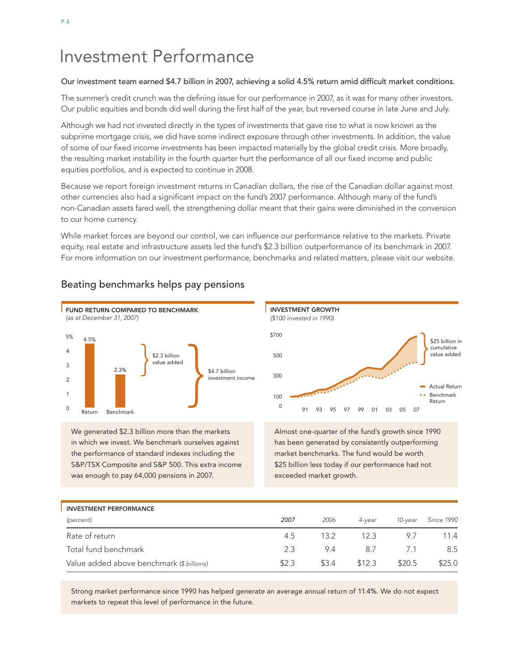# Investment Performance

### Our investment team earned \$4.7 billion in 2007, achieving a solid 4.5% return amid difficult market conditions.

The summer's credit crunch was the defining issue for our performance in 2007, as it was for many other investors. Our public equities and bonds did well during the first half of the year, but reversed course in late June and July.

Although we had not invested directly in the types of investments that gave rise to what is now known as the subprime mortgage crisis, we did have some indirect exposure through other investments. In addition, the value of some of our fixed income investments has been impacted materially by the global credit crisis. More broadly, the resulting market instability in the fourth quarter hurt the performance of all our fixed income and public equities portfolios, and is expected to continue in 2008.

Because we report foreign investment returns in Canadian dollars, the rise of the Canadian dollar against most other currencies also had a significant impact on the fund's 2007 performance. Although many of the fund's non-Canadian assets fared well, the strengthening dollar meant that their gains were diminished in the conversion to our home currency.

While market forces are beyond our control, we can influence our performance relative to the markets. Private equity, real estate and infrastructure assets led the fund's \$2.3 billion outperformance of its benchmark in 2007. For more information on our investment performance, benchmarks and related matters, please visit our website.



Beating benchmarks helps pay pensions

We generated \$2.3 billion more than the markets in which we invest. We benchmark ourselves against the performance of standard indexes including the S&P/TSX Composite and S&P 500. This extra income was enough to pay 64,000 pensions in 2007.

Almost one-quarter of the fund's growth since 1990 has been generated by consistently outperforming market benchmarks. The fund would be worth \$25 billion less today if our performance had not exceeded market growth.

Benchmark Return Actual Return

\$25 billion in cumulative value added

| <b>INVESTMENT PERFORMANCE</b>             |       |       |        |         |                   |
|-------------------------------------------|-------|-------|--------|---------|-------------------|
| (percent)                                 | 2007  | 2006  | 4-vear | 10-vear | <b>Since 1990</b> |
| Rate of return                            | 4.5   | 13.2  | 12.3   | 97      | 11.4              |
| Total fund benchmark                      | 2.3   | 9.4   | 8.7    |         | 8.5               |
| Value added above benchmark (\$ billions) | \$2.3 | \$3.4 | \$12.3 | \$20.5  | \$25.0            |

Strong market performance since 1990 has helped generate an average annual return of 11.4%. We do not expect markets to repeat this level of performance in the future.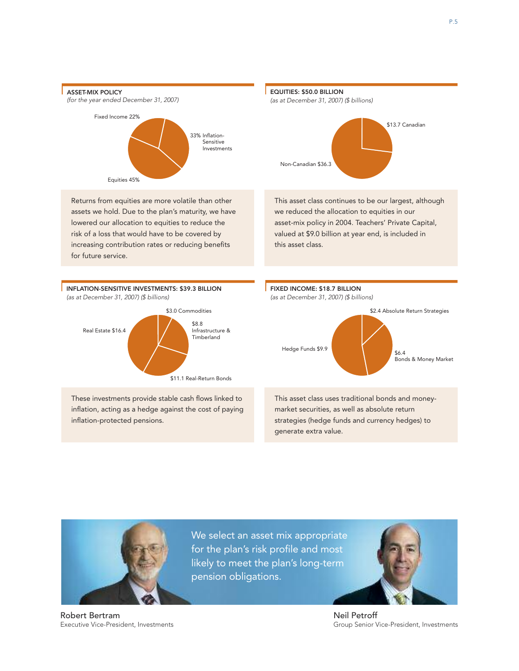



Executive Vice-President, Investments

Robert Bertram

We select an asset mix appropriate for the plan's risk profile and most likely to meet the plan's long-term pension obligations.



Neil Petroff Group Senior Vice-President, Investments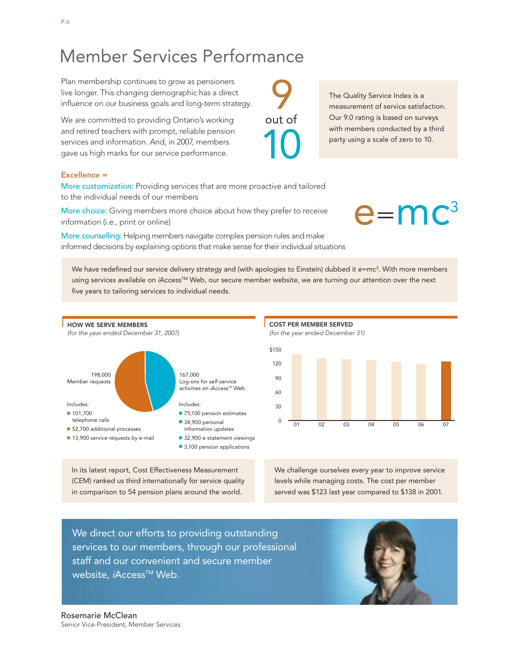# Excellence =

Plan membership continues to grow as pensioners live longer. This changing demographic has a direct influence on our business goals and long-term strategy.

We are committed to providing Ontario's working and retired teachers with prompt, reliable pension services and information. And, in 2007, members gave us high marks for our service performance.

More customization: Providing services that are more proactive and tailored to the individual needs of our members

More choice: Giving members more choice about how they prefer to receive information (i.e., print or online)

More counselling: Helping members navigate complex pension rules and make informed decisions by explaining options that make sense for their individual situations

We have redefined our service delivery strategy and (with apologies to Einstein) dubbed it e=mc<sup>3</sup>. With more members using services available on *i*Access™ Web, our secure member website, we are turning our attention over the next five years to tailoring services to individual needs.



In its latest report, Cost Effectiveness Measurement (CEM) ranked us third internationally for service quality in comparison to 54 pension plans around the world.



*(for the year ended December 31)*



We challenge ourselves every year to improve service levels while managing costs. The cost per member served was \$123 last year compared to \$138 in 2001.

We direct our efforts to providing outstanding services to our members, through our professional staff and our convenient and secure member website, *iAccess<sup>™</sup> Web*.



out of

10

The Quality Service Index is a measurement of service satisfaction. Our 9.0 rating is based on surveys with members conducted by a third party using a scale of zero to 10.

 $e=mc<sup>3</sup>$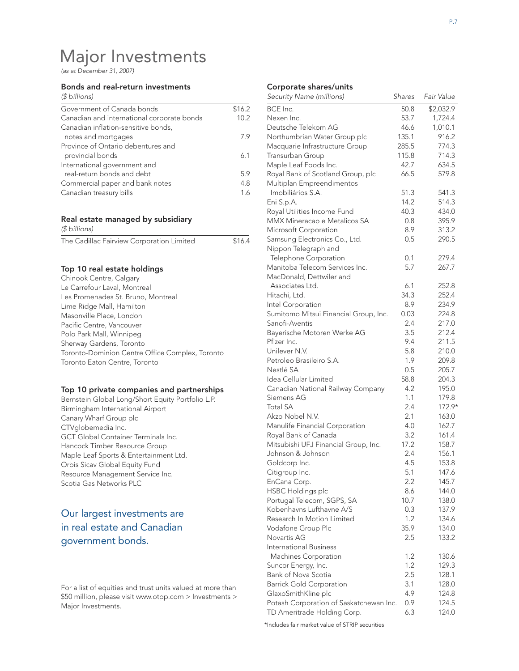# Major Investments

*(as at December 31, 2007)*

#### Bonds and real-return investments

| \$16.2 |
|--------|
| 10.2   |
|        |
| 79     |
|        |
| 61     |
|        |
| 5.9    |
| 4.8    |
| 1.6    |
|        |

#### Real estate managed by subsidiary *(\$ billions)*

| The Cadillac Fairview Corporation Limited | \$16.4 |
|-------------------------------------------|--------|
|                                           |        |

#### Top 10 real estate holdings

| Chinook Centre, Calgary                         |
|-------------------------------------------------|
| Le Carrefour Laval, Montreal                    |
| Les Promenades St. Bruno, Montreal              |
| Lime Ridge Mall, Hamilton                       |
| Masonville Place, London                        |
| Pacific Centre, Vancouver                       |
| Polo Park Mall, Winnipeg                        |
| Sherway Gardens, Toronto                        |
| Toronto-Dominion Centre Office Complex, Toronto |
| Toronto Eaton Centre, Toronto                   |

#### Top 10 private companies and partnerships

Bernstein Global Long/Short Equity Portfolio L.P. Birmingham International Airport Canary Wharf Group plc CTVglobemedia Inc. GCT Global Container Terminals Inc. Hancock Timber Resource Group Maple Leaf Sports & Entertainment Ltd. Orbis Sicav Global Equity Fund Resource Management Service Inc. Scotia Gas Networks PLC

## Our largest investments are in real estate and Canadian government bonds.

#### For a list of equities and trust units valued at more than \$50 million, please visit www.otpp.com > Investments > Major Investments.

#### Corporate shares/units

| BCE Inc.<br>50.8<br>\$2,032.9<br>1,724.4<br>Nexen Inc.<br>53.7<br>Deutsche Telekom AG<br>46.6<br>1,010.1<br>Northumbrian Water Group plc<br>135.1<br>916.2<br>285.5<br>Macquarie Infrastructure Group<br>774.3<br>Transurban Group<br>115.8<br>714.3<br>634.5<br>Maple Leaf Foods Inc.<br>42.7<br>Royal Bank of Scotland Group, plc<br>66.5<br>579.8<br>Multiplan Empreendimentos<br>Imobiliários S.A.<br>51.3<br>541.3<br>Eni S.p.A.<br>14.2<br>514.3<br>40.3<br>Royal Utilities Income Fund<br>434.0<br>MMX Mineracao e Metalicos SA<br>0.8<br>395.9<br>Microsoft Corporation<br>8.9<br>313.2<br>0.5<br>Samsung Electronics Co., Ltd.<br>290.5<br>Nippon Telegraph and<br>279.4<br>Telephone Corporation<br>0.1<br>Manitoba Telecom Services Inc.<br>5.7<br>267.7<br>MacDonald, Dettwiler and<br>Associates Ltd.<br>6.1<br>252.8<br>34.3<br>Hitachi, Ltd.<br>252.4<br>Intel Corporation<br>8.9<br>234.9<br>Sumitomo Mitsui Financial Group, Inc.<br>0.03<br>224.8<br>Sanofi-Aventis<br>2.4<br>217.0<br>Bayerische Motoren Werke AG<br>3.5<br>212.4<br>Pfizer Inc.<br>9.4<br>211.5<br>Unilever N.V.<br>5.8<br>210.0<br>Petroleo Brasileiro S.A.<br>1.9<br>209.8<br>Nestlé SA<br>0.5<br>205.7<br>Idea Cellular Limited<br>58.8<br>204.3<br>4.2<br>Canadian National Railway Company<br>195.0<br>Siemens AG<br>1.1<br>179.8<br><b>Total SA</b><br>2.4<br>172.9*<br>Akzo Nobel N.V.<br>2.1<br>163.0<br>Manulife Financial Corporation<br>4.0<br>162.7<br>Royal Bank of Canada<br>3.2<br>161.4<br>Mitsubishi UFJ Financial Group, Inc.<br>17.2<br>158.7<br>2.4<br>Johnson & Johnson<br>156.1<br>4.5<br>Goldcorp Inc.<br>153.8<br>5.1<br>Citigroup Inc.<br>147.6<br>EnCana Corp.<br>2.2<br>145.7<br>8.6<br><b>HSBC Holdings plc</b><br>144.0<br>Portugal Telecom, SGPS, SA<br>10.7<br>138.0<br>Kobenhavns Lufthavne A/S<br>0.3<br>137.9<br>Research In Motion Limited<br>1.2<br>134.6<br>Vodafone Group Plc<br>35.9<br>134.0<br>2.5<br>Novartis AG<br>133.2<br>International Business<br>Machines Corporation<br>1.2<br>130.6<br>1.2<br>Suncor Energy, Inc.<br>129.3<br>2.5<br>Bank of Nova Scotia<br>128.1<br><b>Barrick Gold Corporation</b><br>3.1<br>128.0<br>4.9<br>GlaxoSmithKline plc<br>124.8<br>Potash Corporation of Saskatchewan Inc.<br>0.9<br>124.5<br>TD Ameritrade Holding Corp.<br>6.3<br>124.0 | Security Name (millions) | Shares | Fair Value |
|-------------------------------------------------------------------------------------------------------------------------------------------------------------------------------------------------------------------------------------------------------------------------------------------------------------------------------------------------------------------------------------------------------------------------------------------------------------------------------------------------------------------------------------------------------------------------------------------------------------------------------------------------------------------------------------------------------------------------------------------------------------------------------------------------------------------------------------------------------------------------------------------------------------------------------------------------------------------------------------------------------------------------------------------------------------------------------------------------------------------------------------------------------------------------------------------------------------------------------------------------------------------------------------------------------------------------------------------------------------------------------------------------------------------------------------------------------------------------------------------------------------------------------------------------------------------------------------------------------------------------------------------------------------------------------------------------------------------------------------------------------------------------------------------------------------------------------------------------------------------------------------------------------------------------------------------------------------------------------------------------------------------------------------------------------------------------------------------------------------------------------------------------------------------------------------------------------------------------------------------------------------------------------------------------------------|--------------------------|--------|------------|
|                                                                                                                                                                                                                                                                                                                                                                                                                                                                                                                                                                                                                                                                                                                                                                                                                                                                                                                                                                                                                                                                                                                                                                                                                                                                                                                                                                                                                                                                                                                                                                                                                                                                                                                                                                                                                                                                                                                                                                                                                                                                                                                                                                                                                                                                                                             |                          |        |            |
|                                                                                                                                                                                                                                                                                                                                                                                                                                                                                                                                                                                                                                                                                                                                                                                                                                                                                                                                                                                                                                                                                                                                                                                                                                                                                                                                                                                                                                                                                                                                                                                                                                                                                                                                                                                                                                                                                                                                                                                                                                                                                                                                                                                                                                                                                                             |                          |        |            |
|                                                                                                                                                                                                                                                                                                                                                                                                                                                                                                                                                                                                                                                                                                                                                                                                                                                                                                                                                                                                                                                                                                                                                                                                                                                                                                                                                                                                                                                                                                                                                                                                                                                                                                                                                                                                                                                                                                                                                                                                                                                                                                                                                                                                                                                                                                             |                          |        |            |
|                                                                                                                                                                                                                                                                                                                                                                                                                                                                                                                                                                                                                                                                                                                                                                                                                                                                                                                                                                                                                                                                                                                                                                                                                                                                                                                                                                                                                                                                                                                                                                                                                                                                                                                                                                                                                                                                                                                                                                                                                                                                                                                                                                                                                                                                                                             |                          |        |            |
|                                                                                                                                                                                                                                                                                                                                                                                                                                                                                                                                                                                                                                                                                                                                                                                                                                                                                                                                                                                                                                                                                                                                                                                                                                                                                                                                                                                                                                                                                                                                                                                                                                                                                                                                                                                                                                                                                                                                                                                                                                                                                                                                                                                                                                                                                                             |                          |        |            |
|                                                                                                                                                                                                                                                                                                                                                                                                                                                                                                                                                                                                                                                                                                                                                                                                                                                                                                                                                                                                                                                                                                                                                                                                                                                                                                                                                                                                                                                                                                                                                                                                                                                                                                                                                                                                                                                                                                                                                                                                                                                                                                                                                                                                                                                                                                             |                          |        |            |
|                                                                                                                                                                                                                                                                                                                                                                                                                                                                                                                                                                                                                                                                                                                                                                                                                                                                                                                                                                                                                                                                                                                                                                                                                                                                                                                                                                                                                                                                                                                                                                                                                                                                                                                                                                                                                                                                                                                                                                                                                                                                                                                                                                                                                                                                                                             |                          |        |            |
|                                                                                                                                                                                                                                                                                                                                                                                                                                                                                                                                                                                                                                                                                                                                                                                                                                                                                                                                                                                                                                                                                                                                                                                                                                                                                                                                                                                                                                                                                                                                                                                                                                                                                                                                                                                                                                                                                                                                                                                                                                                                                                                                                                                                                                                                                                             |                          |        |            |
|                                                                                                                                                                                                                                                                                                                                                                                                                                                                                                                                                                                                                                                                                                                                                                                                                                                                                                                                                                                                                                                                                                                                                                                                                                                                                                                                                                                                                                                                                                                                                                                                                                                                                                                                                                                                                                                                                                                                                                                                                                                                                                                                                                                                                                                                                                             |                          |        |            |
|                                                                                                                                                                                                                                                                                                                                                                                                                                                                                                                                                                                                                                                                                                                                                                                                                                                                                                                                                                                                                                                                                                                                                                                                                                                                                                                                                                                                                                                                                                                                                                                                                                                                                                                                                                                                                                                                                                                                                                                                                                                                                                                                                                                                                                                                                                             |                          |        |            |
|                                                                                                                                                                                                                                                                                                                                                                                                                                                                                                                                                                                                                                                                                                                                                                                                                                                                                                                                                                                                                                                                                                                                                                                                                                                                                                                                                                                                                                                                                                                                                                                                                                                                                                                                                                                                                                                                                                                                                                                                                                                                                                                                                                                                                                                                                                             |                          |        |            |
|                                                                                                                                                                                                                                                                                                                                                                                                                                                                                                                                                                                                                                                                                                                                                                                                                                                                                                                                                                                                                                                                                                                                                                                                                                                                                                                                                                                                                                                                                                                                                                                                                                                                                                                                                                                                                                                                                                                                                                                                                                                                                                                                                                                                                                                                                                             |                          |        |            |
|                                                                                                                                                                                                                                                                                                                                                                                                                                                                                                                                                                                                                                                                                                                                                                                                                                                                                                                                                                                                                                                                                                                                                                                                                                                                                                                                                                                                                                                                                                                                                                                                                                                                                                                                                                                                                                                                                                                                                                                                                                                                                                                                                                                                                                                                                                             |                          |        |            |
|                                                                                                                                                                                                                                                                                                                                                                                                                                                                                                                                                                                                                                                                                                                                                                                                                                                                                                                                                                                                                                                                                                                                                                                                                                                                                                                                                                                                                                                                                                                                                                                                                                                                                                                                                                                                                                                                                                                                                                                                                                                                                                                                                                                                                                                                                                             |                          |        |            |
|                                                                                                                                                                                                                                                                                                                                                                                                                                                                                                                                                                                                                                                                                                                                                                                                                                                                                                                                                                                                                                                                                                                                                                                                                                                                                                                                                                                                                                                                                                                                                                                                                                                                                                                                                                                                                                                                                                                                                                                                                                                                                                                                                                                                                                                                                                             |                          |        |            |
|                                                                                                                                                                                                                                                                                                                                                                                                                                                                                                                                                                                                                                                                                                                                                                                                                                                                                                                                                                                                                                                                                                                                                                                                                                                                                                                                                                                                                                                                                                                                                                                                                                                                                                                                                                                                                                                                                                                                                                                                                                                                                                                                                                                                                                                                                                             |                          |        |            |
|                                                                                                                                                                                                                                                                                                                                                                                                                                                                                                                                                                                                                                                                                                                                                                                                                                                                                                                                                                                                                                                                                                                                                                                                                                                                                                                                                                                                                                                                                                                                                                                                                                                                                                                                                                                                                                                                                                                                                                                                                                                                                                                                                                                                                                                                                                             |                          |        |            |
|                                                                                                                                                                                                                                                                                                                                                                                                                                                                                                                                                                                                                                                                                                                                                                                                                                                                                                                                                                                                                                                                                                                                                                                                                                                                                                                                                                                                                                                                                                                                                                                                                                                                                                                                                                                                                                                                                                                                                                                                                                                                                                                                                                                                                                                                                                             |                          |        |            |
|                                                                                                                                                                                                                                                                                                                                                                                                                                                                                                                                                                                                                                                                                                                                                                                                                                                                                                                                                                                                                                                                                                                                                                                                                                                                                                                                                                                                                                                                                                                                                                                                                                                                                                                                                                                                                                                                                                                                                                                                                                                                                                                                                                                                                                                                                                             |                          |        |            |
|                                                                                                                                                                                                                                                                                                                                                                                                                                                                                                                                                                                                                                                                                                                                                                                                                                                                                                                                                                                                                                                                                                                                                                                                                                                                                                                                                                                                                                                                                                                                                                                                                                                                                                                                                                                                                                                                                                                                                                                                                                                                                                                                                                                                                                                                                                             |                          |        |            |
|                                                                                                                                                                                                                                                                                                                                                                                                                                                                                                                                                                                                                                                                                                                                                                                                                                                                                                                                                                                                                                                                                                                                                                                                                                                                                                                                                                                                                                                                                                                                                                                                                                                                                                                                                                                                                                                                                                                                                                                                                                                                                                                                                                                                                                                                                                             |                          |        |            |
|                                                                                                                                                                                                                                                                                                                                                                                                                                                                                                                                                                                                                                                                                                                                                                                                                                                                                                                                                                                                                                                                                                                                                                                                                                                                                                                                                                                                                                                                                                                                                                                                                                                                                                                                                                                                                                                                                                                                                                                                                                                                                                                                                                                                                                                                                                             |                          |        |            |
|                                                                                                                                                                                                                                                                                                                                                                                                                                                                                                                                                                                                                                                                                                                                                                                                                                                                                                                                                                                                                                                                                                                                                                                                                                                                                                                                                                                                                                                                                                                                                                                                                                                                                                                                                                                                                                                                                                                                                                                                                                                                                                                                                                                                                                                                                                             |                          |        |            |
|                                                                                                                                                                                                                                                                                                                                                                                                                                                                                                                                                                                                                                                                                                                                                                                                                                                                                                                                                                                                                                                                                                                                                                                                                                                                                                                                                                                                                                                                                                                                                                                                                                                                                                                                                                                                                                                                                                                                                                                                                                                                                                                                                                                                                                                                                                             |                          |        |            |
|                                                                                                                                                                                                                                                                                                                                                                                                                                                                                                                                                                                                                                                                                                                                                                                                                                                                                                                                                                                                                                                                                                                                                                                                                                                                                                                                                                                                                                                                                                                                                                                                                                                                                                                                                                                                                                                                                                                                                                                                                                                                                                                                                                                                                                                                                                             |                          |        |            |
|                                                                                                                                                                                                                                                                                                                                                                                                                                                                                                                                                                                                                                                                                                                                                                                                                                                                                                                                                                                                                                                                                                                                                                                                                                                                                                                                                                                                                                                                                                                                                                                                                                                                                                                                                                                                                                                                                                                                                                                                                                                                                                                                                                                                                                                                                                             |                          |        |            |
|                                                                                                                                                                                                                                                                                                                                                                                                                                                                                                                                                                                                                                                                                                                                                                                                                                                                                                                                                                                                                                                                                                                                                                                                                                                                                                                                                                                                                                                                                                                                                                                                                                                                                                                                                                                                                                                                                                                                                                                                                                                                                                                                                                                                                                                                                                             |                          |        |            |
|                                                                                                                                                                                                                                                                                                                                                                                                                                                                                                                                                                                                                                                                                                                                                                                                                                                                                                                                                                                                                                                                                                                                                                                                                                                                                                                                                                                                                                                                                                                                                                                                                                                                                                                                                                                                                                                                                                                                                                                                                                                                                                                                                                                                                                                                                                             |                          |        |            |
|                                                                                                                                                                                                                                                                                                                                                                                                                                                                                                                                                                                                                                                                                                                                                                                                                                                                                                                                                                                                                                                                                                                                                                                                                                                                                                                                                                                                                                                                                                                                                                                                                                                                                                                                                                                                                                                                                                                                                                                                                                                                                                                                                                                                                                                                                                             |                          |        |            |
|                                                                                                                                                                                                                                                                                                                                                                                                                                                                                                                                                                                                                                                                                                                                                                                                                                                                                                                                                                                                                                                                                                                                                                                                                                                                                                                                                                                                                                                                                                                                                                                                                                                                                                                                                                                                                                                                                                                                                                                                                                                                                                                                                                                                                                                                                                             |                          |        |            |
|                                                                                                                                                                                                                                                                                                                                                                                                                                                                                                                                                                                                                                                                                                                                                                                                                                                                                                                                                                                                                                                                                                                                                                                                                                                                                                                                                                                                                                                                                                                                                                                                                                                                                                                                                                                                                                                                                                                                                                                                                                                                                                                                                                                                                                                                                                             |                          |        |            |
|                                                                                                                                                                                                                                                                                                                                                                                                                                                                                                                                                                                                                                                                                                                                                                                                                                                                                                                                                                                                                                                                                                                                                                                                                                                                                                                                                                                                                                                                                                                                                                                                                                                                                                                                                                                                                                                                                                                                                                                                                                                                                                                                                                                                                                                                                                             |                          |        |            |
|                                                                                                                                                                                                                                                                                                                                                                                                                                                                                                                                                                                                                                                                                                                                                                                                                                                                                                                                                                                                                                                                                                                                                                                                                                                                                                                                                                                                                                                                                                                                                                                                                                                                                                                                                                                                                                                                                                                                                                                                                                                                                                                                                                                                                                                                                                             |                          |        |            |
|                                                                                                                                                                                                                                                                                                                                                                                                                                                                                                                                                                                                                                                                                                                                                                                                                                                                                                                                                                                                                                                                                                                                                                                                                                                                                                                                                                                                                                                                                                                                                                                                                                                                                                                                                                                                                                                                                                                                                                                                                                                                                                                                                                                                                                                                                                             |                          |        |            |
|                                                                                                                                                                                                                                                                                                                                                                                                                                                                                                                                                                                                                                                                                                                                                                                                                                                                                                                                                                                                                                                                                                                                                                                                                                                                                                                                                                                                                                                                                                                                                                                                                                                                                                                                                                                                                                                                                                                                                                                                                                                                                                                                                                                                                                                                                                             |                          |        |            |
|                                                                                                                                                                                                                                                                                                                                                                                                                                                                                                                                                                                                                                                                                                                                                                                                                                                                                                                                                                                                                                                                                                                                                                                                                                                                                                                                                                                                                                                                                                                                                                                                                                                                                                                                                                                                                                                                                                                                                                                                                                                                                                                                                                                                                                                                                                             |                          |        |            |
|                                                                                                                                                                                                                                                                                                                                                                                                                                                                                                                                                                                                                                                                                                                                                                                                                                                                                                                                                                                                                                                                                                                                                                                                                                                                                                                                                                                                                                                                                                                                                                                                                                                                                                                                                                                                                                                                                                                                                                                                                                                                                                                                                                                                                                                                                                             |                          |        |            |
|                                                                                                                                                                                                                                                                                                                                                                                                                                                                                                                                                                                                                                                                                                                                                                                                                                                                                                                                                                                                                                                                                                                                                                                                                                                                                                                                                                                                                                                                                                                                                                                                                                                                                                                                                                                                                                                                                                                                                                                                                                                                                                                                                                                                                                                                                                             |                          |        |            |
|                                                                                                                                                                                                                                                                                                                                                                                                                                                                                                                                                                                                                                                                                                                                                                                                                                                                                                                                                                                                                                                                                                                                                                                                                                                                                                                                                                                                                                                                                                                                                                                                                                                                                                                                                                                                                                                                                                                                                                                                                                                                                                                                                                                                                                                                                                             |                          |        |            |
|                                                                                                                                                                                                                                                                                                                                                                                                                                                                                                                                                                                                                                                                                                                                                                                                                                                                                                                                                                                                                                                                                                                                                                                                                                                                                                                                                                                                                                                                                                                                                                                                                                                                                                                                                                                                                                                                                                                                                                                                                                                                                                                                                                                                                                                                                                             |                          |        |            |
|                                                                                                                                                                                                                                                                                                                                                                                                                                                                                                                                                                                                                                                                                                                                                                                                                                                                                                                                                                                                                                                                                                                                                                                                                                                                                                                                                                                                                                                                                                                                                                                                                                                                                                                                                                                                                                                                                                                                                                                                                                                                                                                                                                                                                                                                                                             |                          |        |            |
|                                                                                                                                                                                                                                                                                                                                                                                                                                                                                                                                                                                                                                                                                                                                                                                                                                                                                                                                                                                                                                                                                                                                                                                                                                                                                                                                                                                                                                                                                                                                                                                                                                                                                                                                                                                                                                                                                                                                                                                                                                                                                                                                                                                                                                                                                                             |                          |        |            |
|                                                                                                                                                                                                                                                                                                                                                                                                                                                                                                                                                                                                                                                                                                                                                                                                                                                                                                                                                                                                                                                                                                                                                                                                                                                                                                                                                                                                                                                                                                                                                                                                                                                                                                                                                                                                                                                                                                                                                                                                                                                                                                                                                                                                                                                                                                             |                          |        |            |
|                                                                                                                                                                                                                                                                                                                                                                                                                                                                                                                                                                                                                                                                                                                                                                                                                                                                                                                                                                                                                                                                                                                                                                                                                                                                                                                                                                                                                                                                                                                                                                                                                                                                                                                                                                                                                                                                                                                                                                                                                                                                                                                                                                                                                                                                                                             |                          |        |            |
|                                                                                                                                                                                                                                                                                                                                                                                                                                                                                                                                                                                                                                                                                                                                                                                                                                                                                                                                                                                                                                                                                                                                                                                                                                                                                                                                                                                                                                                                                                                                                                                                                                                                                                                                                                                                                                                                                                                                                                                                                                                                                                                                                                                                                                                                                                             |                          |        |            |
|                                                                                                                                                                                                                                                                                                                                                                                                                                                                                                                                                                                                                                                                                                                                                                                                                                                                                                                                                                                                                                                                                                                                                                                                                                                                                                                                                                                                                                                                                                                                                                                                                                                                                                                                                                                                                                                                                                                                                                                                                                                                                                                                                                                                                                                                                                             |                          |        |            |
|                                                                                                                                                                                                                                                                                                                                                                                                                                                                                                                                                                                                                                                                                                                                                                                                                                                                                                                                                                                                                                                                                                                                                                                                                                                                                                                                                                                                                                                                                                                                                                                                                                                                                                                                                                                                                                                                                                                                                                                                                                                                                                                                                                                                                                                                                                             |                          |        |            |
|                                                                                                                                                                                                                                                                                                                                                                                                                                                                                                                                                                                                                                                                                                                                                                                                                                                                                                                                                                                                                                                                                                                                                                                                                                                                                                                                                                                                                                                                                                                                                                                                                                                                                                                                                                                                                                                                                                                                                                                                                                                                                                                                                                                                                                                                                                             |                          |        |            |
|                                                                                                                                                                                                                                                                                                                                                                                                                                                                                                                                                                                                                                                                                                                                                                                                                                                                                                                                                                                                                                                                                                                                                                                                                                                                                                                                                                                                                                                                                                                                                                                                                                                                                                                                                                                                                                                                                                                                                                                                                                                                                                                                                                                                                                                                                                             |                          |        |            |
|                                                                                                                                                                                                                                                                                                                                                                                                                                                                                                                                                                                                                                                                                                                                                                                                                                                                                                                                                                                                                                                                                                                                                                                                                                                                                                                                                                                                                                                                                                                                                                                                                                                                                                                                                                                                                                                                                                                                                                                                                                                                                                                                                                                                                                                                                                             |                          |        |            |
|                                                                                                                                                                                                                                                                                                                                                                                                                                                                                                                                                                                                                                                                                                                                                                                                                                                                                                                                                                                                                                                                                                                                                                                                                                                                                                                                                                                                                                                                                                                                                                                                                                                                                                                                                                                                                                                                                                                                                                                                                                                                                                                                                                                                                                                                                                             |                          |        |            |
|                                                                                                                                                                                                                                                                                                                                                                                                                                                                                                                                                                                                                                                                                                                                                                                                                                                                                                                                                                                                                                                                                                                                                                                                                                                                                                                                                                                                                                                                                                                                                                                                                                                                                                                                                                                                                                                                                                                                                                                                                                                                                                                                                                                                                                                                                                             |                          |        |            |
|                                                                                                                                                                                                                                                                                                                                                                                                                                                                                                                                                                                                                                                                                                                                                                                                                                                                                                                                                                                                                                                                                                                                                                                                                                                                                                                                                                                                                                                                                                                                                                                                                                                                                                                                                                                                                                                                                                                                                                                                                                                                                                                                                                                                                                                                                                             |                          |        |            |
|                                                                                                                                                                                                                                                                                                                                                                                                                                                                                                                                                                                                                                                                                                                                                                                                                                                                                                                                                                                                                                                                                                                                                                                                                                                                                                                                                                                                                                                                                                                                                                                                                                                                                                                                                                                                                                                                                                                                                                                                                                                                                                                                                                                                                                                                                                             |                          |        |            |
|                                                                                                                                                                                                                                                                                                                                                                                                                                                                                                                                                                                                                                                                                                                                                                                                                                                                                                                                                                                                                                                                                                                                                                                                                                                                                                                                                                                                                                                                                                                                                                                                                                                                                                                                                                                                                                                                                                                                                                                                                                                                                                                                                                                                                                                                                                             |                          |        |            |

\*Includes fair market value of STRIP securities